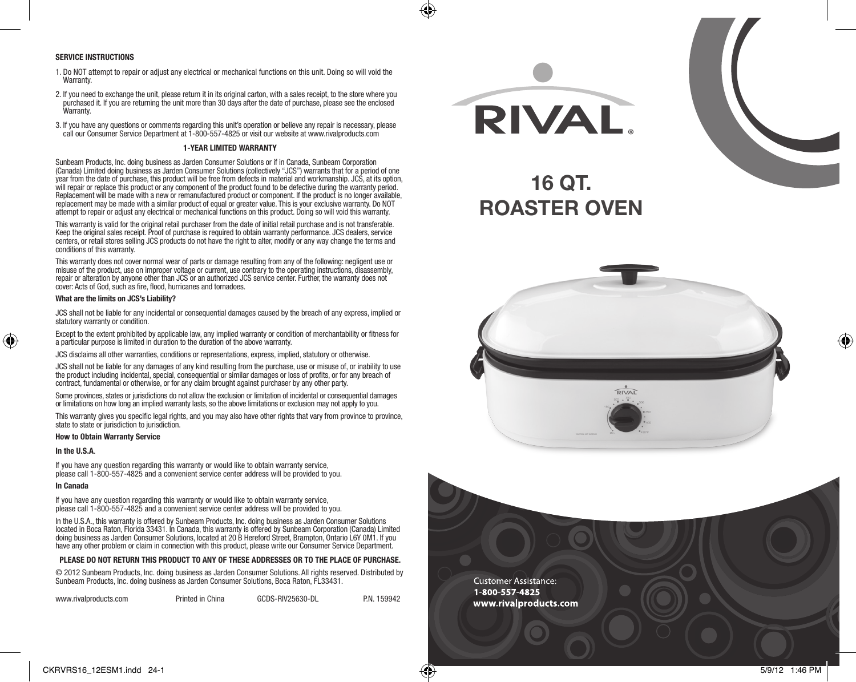#### **SERVICE INSTRUCTIONS**

- 1. Do NOT attempt to repair or adjust any electrical or mechanical functions on this unit. Doing so will void the **Warranty**
- 2. If you need to exchange the unit, please return it in its original carton, with a sales receipt, to the store where you purchased it. If you are returning the unit more than 30 days after the date of purchase, please see the enclosed Warranty.
- 3. If you have any questions or comments regarding this unit's operation or believe any repair is necessary, please call our Consumer Service Department at 1-800-557-4825 or visit our website at www.rivalproducts.com

#### **1-YEAR LIMITED WARRANTY**

Sunbeam Products, Inc. doing business as Jarden Consumer Solutions or if in Canada, Sunbeam Corporation (Canada) Limited doing business as Jarden Consumer Solutions (collectively "JCS") warrants that for a period of one year from the date of purchase, this product will be free from defects in material and workmanship. JCS, at its option, will repair or replace this product or any component of the product found to be defective during the warranty period. Replacement will be made with a new or remanufactured product or component. If the product is no longer available, replacement may be made with a similar product of equal or greater value. This is your exclusive warranty. Do NOT attempt to repair or adjust any electrical or mechanical functions on this product. Doing so will void this warranty.

This warranty is valid for the original retail purchaser from the date of initial retail purchase and is not transferable. Keep the original sales receipt. Proof of purchase is required to obtain warranty performance. JCS dealers, service centers, or retail stores selling JCS products do not have the right to alter, modify or any way change the terms and conditions of this warranty.

This warranty does not cover normal wear of parts or damage resulting from any of the following: negligent use or misuse of the product, use on improper voltage or current, use contrary to the operating instructions, disassembly, repair or alteration by anyone other than JCS or an authorized JCS service center. Further, the warranty does not cover: Acts of God, such as fire, flood, hurricanes and tornadoes.

#### **What are the limits on JCS's Liability?**

JCS shall not be liable for any incidental or consequential damages caused by the breach of any express, implied or statutory warranty or condition.

Except to the extent prohibited by applicable law, any implied warranty or condition of merchantability or fitness for a particular purpose is limited in duration to the duration of the above warranty.

JCS disclaims all other warranties, conditions or representations, express, implied, statutory or otherwise.

JCS shall not be liable for any damages of any kind resulting from the purchase, use or misuse of, or inability to use the product including incidental, special, consequential or similar damages or loss of profits, or for any breach of contract, fundamental or otherwise, or for any claim brought against purchaser by any other party.

Some provinces, states or jurisdictions do not allow the exclusion or limitation of incidental or consequential damages or limitations on how long an implied warranty lasts, so the above limitations or exclusion may not apply to you.

This warranty gives you specific legal rights, and you may also have other rights that vary from province to province, state to state or jurisdiction to jurisdiction.

#### **How to Obtain Warranty Service**

#### **In the U.S.A**.

♠

If you have any question regarding this warranty or would like to obtain warranty service. please call 1-800-557-4825 and a convenient service center address will be provided to you.

#### **In Canada**

If you have any question regarding this warranty or would like to obtain warranty service, please call 1-800-557-4825 and a convenient service center address will be provided to you.

In the U.S.A., this warranty is offered by Sunbeam Products, Inc. doing business as Jarden Consumer Solutions located in Boca Raton, Florida 33431. In Canada, this warranty is offered by Sunbeam Corporation (Canada) Limited doing business as Jarden Consumer Solutions, located at 20 B Hereford Street, Brampton, Ontario L6Y 0M1. If you have any other problem or claim in connection with this product, please write our Consumer Service Department.

#### **PLEASE DO NOT RETURN THIS PRODUCT TO ANY OF THESE ADDRESSES OR TO THE PLACE OF PURCHASE.**

© 2012 Sunbeam Products, Inc. doing business as Jarden Consumer Solutions. All rights reserved. Distributed by Sunbeam Products, Inc. doing business as Jarden Consumer Solutions, Boca Raton, FL33431.

| www.rivalproducts.com | Printed in China | GCDS-RIV25630-DL | P.N. 159942 |
|-----------------------|------------------|------------------|-------------|
|-----------------------|------------------|------------------|-------------|



**ROASTER OVEN**





♠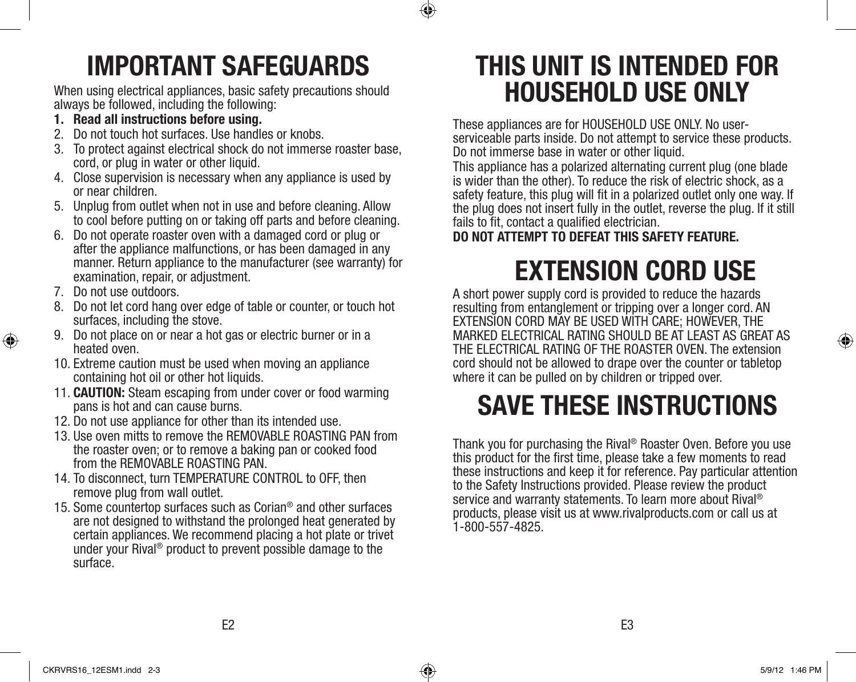

## **IMPORTANT SAFEGUARDS**

When using electrical appliances, basic safety precautions should always be followed, including the following:

- **1. Read all instructions before using.**
- 2. Do not touch hot surfaces. Use handles or knobs.
- 3. To protect against electrical shock do not immerse roaster base, cord, or plug in water or other liquid.
- 4. Close supervision is necessary when any appliance is used by or near children.
- 5. Unplug from outlet when not in use and before cleaning. Allow to cool before putting on or taking off parts and before cleaning.
- 6. Do not operate roaster oven with a damaged cord or plug or after the appliance malfunctions, or has been damaged in any manner. Return appliance to the manufacturer (see warranty) for examination, repair, or adjustment.
- 7. Do not use outdoors.

⊕

- 8. Do not let cord hang over edge of table or counter, or touch hot surfaces, including the stove.
- 9. Do not place on or near a hot gas or electric burner or in a heated oven.
- 10. Extreme caution must be used when moving an appliance containing hot oil or other hot liquids.
- 11. **CAUTION:** Steam escaping from under cover or food warming pans is hot and can cause burns.
- 12. Do not use appliance for other than its intended use.
- 13. Use oven mitts to remove the REMOVABLE ROASTING PAN from the roaster oven; or to remove a baking pan or cooked food from the REMOVABLE ROASTING PAN.
- 14. To disconnect, turn TEMPERATURE CONTROL to OFF, then remove plug from wall outlet.
- 15. Some countertop surfaces such as Corian® and other surfaces are not designed to withstand the prolonged heat generated by certain appliances. We recommend placing a hot plate or trivet under your Rival® product to prevent possible damage to the surface.

## **THIS UNIT IS INTENDED FOR HOUSEHOLD USE ONLY**

These appliances are for HOUSEHOLD USE ONLY. No userserviceable parts inside. Do not attempt to service these products. Do not immerse base in water or other liquid.

This appliance has a polarized alternating current plug (one blade is wider than the other). To reduce the risk of electric shock, as a safety feature, this plug will fit in a polarized outlet only one way. If the plug does not insert fully in the outlet, reverse the plug. If it still fails to fit, contact a qualified electrician.

**DO NOT ATTEMPT TO DEFEAT THIS SAFETY FEATURE.**

# **EXTENSION CORD USE**

A short power supply cord is provided to reduce the hazards resulting from entanglement or tripping over a longer cord. AN EXTENSION CORD MAY BE USED WITH CARE; HOWEVER, THE MARKED ELECTRICAL RATING SHOULD BE AT LEAST AS GREAT AS THE ELECTRICAL RATING OF THE ROASTER OVEN. The extension cord should not be allowed to drape over the counter or tabletop where it can be pulled on by children or tripped over.

# **SAVE THESE INSTRUCTIONS**

Thank you for purchasing the Rival<sup>®</sup> Roaster Oven. Before you use this product for the first time, please take a few moments to read these instructions and keep it for reference. Pay particular attention to the Safety Instructions provided. Please review the product service and warranty statements. To learn more about Rival® products, please visit us at www.rivalproducts.com or call us at 1-800-557-4825.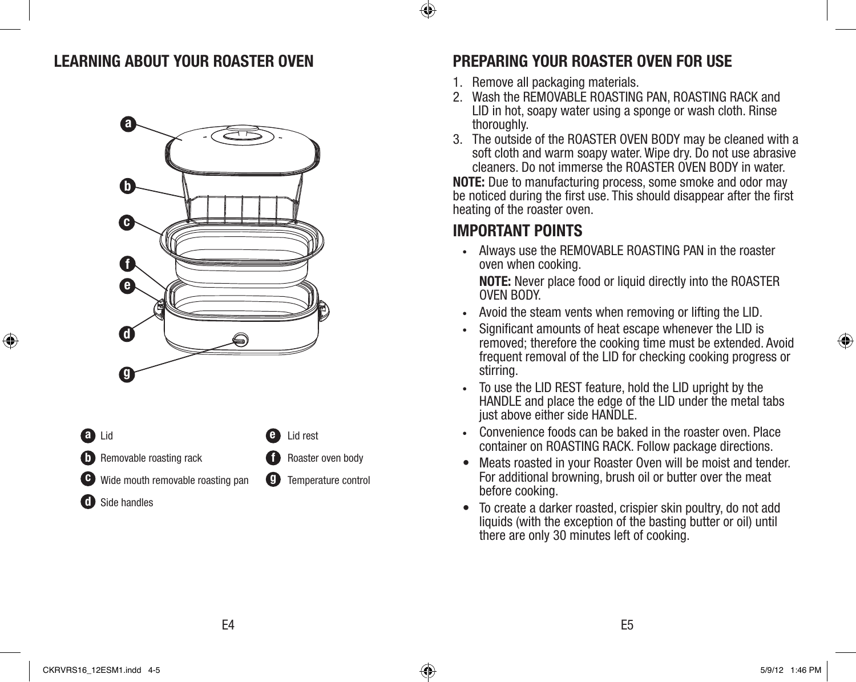



Roaster oven body

### Temperature control

## **LEARNING ABOUT YOUR ROASTER OVEN PREPARING YOUR ROASTER OVEN FOR USE**

- 1. Remove all packaging materials.
- 2. Wash the REMOVABLE ROASTING PAN, ROASTING RACK and LID in hot, soapy water using a sponge or wash cloth. Rinse thoroughly.
- 3. The outside of the ROASTER OVEN BODY may be cleaned with a soft cloth and warm soapy water. Wipe dry. Do not use abrasive cleaners. Do not immerse the ROASTER OVEN BODY in water.

**NOTE:** Due to manufacturing process, some smoke and odor may be noticed during the first use. This should disappear after the first heating of the roaster oven.

## **IMPORTANT POINTS**

**•** Always use the REMOVABLE ROASTING PAN in the roaster oven when cooking.

 **NOTE:** Never place food or liquid directly into the ROASTER OVEN BODY.

- **•** Avoid the steam vents when removing or lifting the LID.
- **•** Significant amounts of heat escape whenever the LID is removed; therefore the cooking time must be extended. Avoid frequent removal of the LID for checking cooking progress or stirring.
- **•** To use the LID REST feature, hold the LID upright by the HANDLE and place the edge of the LID under the metal tabs just above either side HANDLE.
- **•** Convenience foods can be baked in the roaster oven. Place container on ROASTING RACK. Follow package directions.
- Meats roasted in your Roaster Oven will be moist and tender. For additional browning, brush oil or butter over the meat before cooking.
- • To create a darker roasted, crispier skin poultry, do not add liquids (with the exception of the basting butter or oil) until there are only 30 minutes left of cooking.

⊕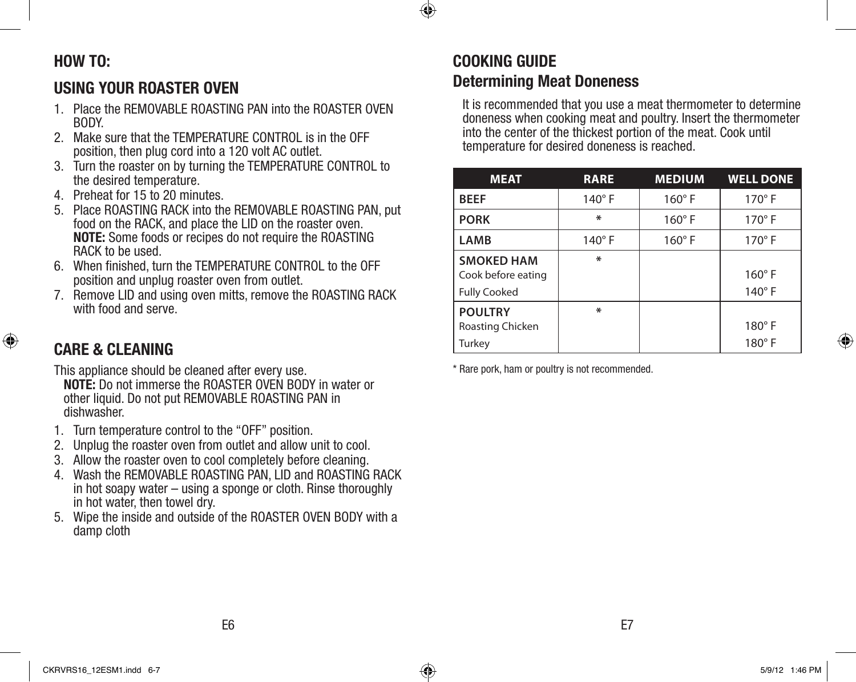## ⊕

## **HOW TO:**

## **USING YOUR ROASTER OVEN**

- 1. Place the REMOVABLE ROASTING PAN into the ROASTER OVEN BODY.
- 2. Make sure that the TEMPERATURE CONTROL is in the OFF position, then plug cord into a 120 volt AC outlet.
- 3. Turn the roaster on by turning the TEMPERATURE CONTROL to the desired temperature.
- 4. Preheat for 15 to 20 minutes.
- 5. Place ROASTING RACK into the REMOVABLE ROASTING PAN, put food on the RACK, and place the LID on the roaster oven. **NOTE:** Some foods or recipes do not require the ROASTING RACK to be used.
- 6. When finished, turn the TEMPERATURE CONTROL to the OFF position and unplug roaster oven from outlet.
- 7. Remove LID and using oven mitts, remove the ROASTING RACK with food and serve.

## **CARE & CLEANING**

⊕

This appliance should be cleaned after every use.

**NOTE:** Do not immerse the ROASTER OVEN BODY in water or other liquid. Do not put REMOVABLE ROASTING PAN in dishwasher.

- 1. Turn temperature control to the "OFF" position.
- 2. Unplug the roaster oven from outlet and allow unit to cool.
- 3. Allow the roaster oven to cool completely before cleaning.
- 4. Wash the REMOVABLE ROASTING PAN, LID and ROASTING RACK in hot soapy water – using a sponge or cloth. Rinse thoroughly in hot water, then towel dry.
- 5. Wipe the inside and outside of the ROASTER OVEN BODY with a damp cloth

## **COOKING GUIDE Determining Meat Doneness**

It is recommended that you use a meat thermometer to determine doneness when cooking meat and poultry. Insert the thermometer into the center of the thickest portion of the meat. Cook until temperature for desired doneness is reached.

| <b>MEAT</b>                                                    | <b>RARE</b>   | <b>MEDIUM</b> | <b>WELL DONE</b>               |
|----------------------------------------------------------------|---------------|---------------|--------------------------------|
| <b>BEEF</b>                                                    | $140^\circ$ F | $160^\circ$ F | $170^\circ$ F                  |
| <b>PORK</b>                                                    | ∗             | $160^\circ$ F | $170^\circ$ F                  |
| <b>LAMB</b>                                                    | $140^\circ$ F | $160^\circ$ F | $170^\circ$ F                  |
| <b>SMOKED HAM</b><br>Cook before eating<br><b>Fully Cooked</b> | ∗             |               | $160^\circ$ F<br>$140^\circ$ F |
| <b>POULTRY</b><br>Roasting Chicken<br>Turkey                   | ∗             |               | $180^\circ$ F<br>$180^\circ$ F |

\* Rare pork, ham or poultry is not recommended.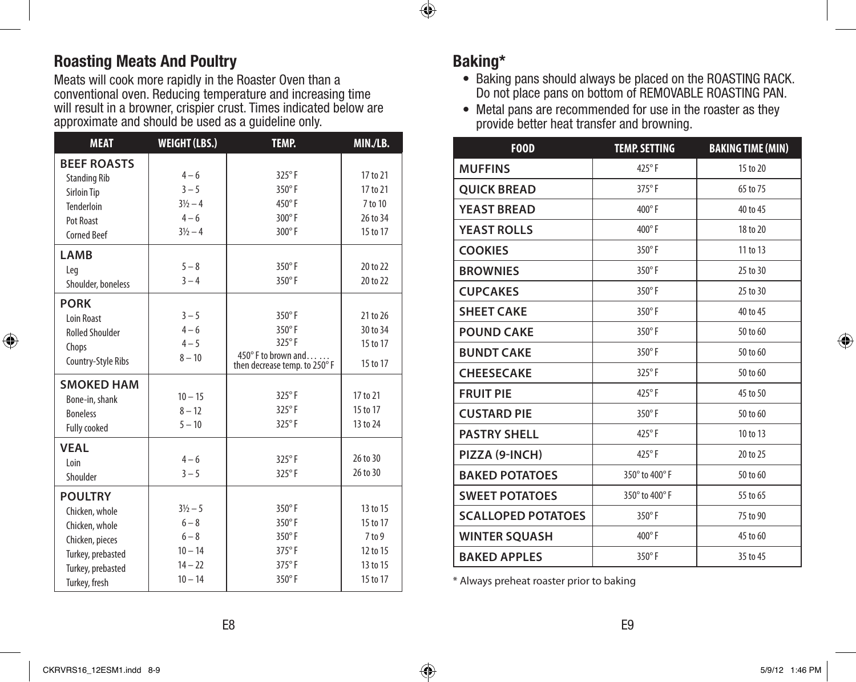## **Roasting Meats And Poultry**

Meats will cook more rapidly in the Roaster Oven than a conventional oven. Reducing temperature and increasing time will result in a browner, crispier crust. Times indicated below are approximate and should be used as a guideline only.

| <b>MEAT</b>            | <b>WEIGHT (LBS.)</b> | TEMP.                                              | MIN./LB. |
|------------------------|----------------------|----------------------------------------------------|----------|
| <b>BEEF ROASTS</b>     |                      |                                                    |          |
| <b>Standing Rib</b>    | $4 - 6$              | $325^{\circ}$ F                                    | 17 to 21 |
| Sirloin Tip            | $3 - 5$              | 350°F                                              | 17 to 21 |
| Tenderloin             | $3\frac{1}{2} - 4$   | $450^{\circ}$ F                                    | 7 to 10  |
| Pot Roast              | $4 - 6$              | $300^\circ$ F                                      | 26 to 34 |
| <b>Corned Beef</b>     | $3\frac{1}{2} - 4$   | 300°F                                              | 15 to 17 |
| <b>LAMB</b>            |                      |                                                    |          |
| Leg                    | $5 - 8$              | 350°F                                              | 20 to 22 |
| Shoulder, boneless     | $3 - 4$              | $350^\circ$ F                                      | 20 to 22 |
| <b>PORK</b>            |                      |                                                    |          |
| Loin Roast             | $3 - 5$              | 350°F                                              | 21 to 26 |
| <b>Rolled Shoulder</b> | $4 - 6$              | $350^\circ$ F                                      | 30 to 34 |
| Chops                  | $4 - 5$              | $325^{\circ}$ F                                    | 15 to 17 |
| Country-Style Ribs     | $8 - 10$             | 450°F to brown and<br>then decrease temp. to 250°F | 15 to 17 |
| <b>SMOKED HAM</b>      |                      |                                                    |          |
| Bone-in, shank         | $10 - 15$            | $325^{\circ}$ F                                    | 17 to 21 |
| <b>Boneless</b>        | $8 - 12$             | $325^{\circ}$ F                                    | 15 to 17 |
| <b>Fully cooked</b>    | $5 - 10$             | $325^{\circ}$ F                                    | 13 to 24 |
| <b>VEAL</b>            |                      |                                                    |          |
| Loin                   | $4 - 6$              | 325°F                                              | 26 to 30 |
| Shoulder               | $3 - 5$              | $325^{\circ}$ F                                    | 26 to 30 |
| <b>POULTRY</b>         |                      |                                                    |          |
| Chicken, whole         | $3\frac{1}{2} - 5$   | 350°F                                              | 13 to 15 |
| Chicken, whole         | $6 - 8$              | 350°F                                              | 15 to 17 |
| Chicken, pieces        | $6 - 8$              | 350°F                                              | 7 to 9   |
| Turkey, prebasted      | $10 - 14$            | 375°F                                              | 12 to 15 |
| Turkey, prebasted      | $14 - 22$            | 375°F                                              | 13 to 15 |
| Turkey, fresh          | $10 - 14$            | 350°F                                              | 15 to 17 |

## **Baking\***

 $\bigcirc$ 

- Baking pans should always be placed on the ROASTING RACK. Do not place pans on bottom of REMOVABLE ROASTING PAN.
- Metal pans are recommended for use in the roaster as they provide better heat transfer and browning.

| <b>F00D</b>               | <b>TEMP. SETTING</b> | <b>BAKING TIME (MIN)</b> |
|---------------------------|----------------------|--------------------------|
| <b>MUFFINS</b>            | 425°F                | 15 to 20                 |
| <b>OUICK BREAD</b>        | $375^\circ$ F        | 65 to 75                 |
| <b>YEAST BREAD</b>        | $400^\circ$ F        | 40 to 45                 |
| <b>YEAST ROLLS</b>        | 400°F                | 18 to 20                 |
| <b>COOKIES</b>            | $350^\circ$ F        | 11 to 13                 |
| <b>BROWNIES</b>           | 350°F                | 25 to 30                 |
| <b>CUPCAKES</b>           | 350°F                | 25 to 30                 |
| <b>SHEET CAKE</b>         | 350°F                | 40 to 45                 |
| <b>POUND CAKE</b>         | $350^\circ$ F        | 50 to 60                 |
| <b>BUNDT CAKE</b>         | $350^\circ$ F        | 50 to 60                 |
| <b>CHEESECAKE</b>         | 325°F                | 50 to 60                 |
| <b>FRUIT PIE</b>          | 425°F                | 45 to 50                 |
| <b>CUSTARD PIE</b>        | $350^\circ$ F        | 50 to 60                 |
| <b>PASTRY SHELL</b>       | 425°F                | 10 to 13                 |
| PIZZA (9-INCH)            | $425^{\circ}$ F      | 20 to 25                 |
| <b>BAKED POTATOES</b>     | 350° to 400° F       | 50 to 60                 |
| <b>SWEET POTATOES</b>     | 350° to 400° F       | 55 to 65                 |
| <b>SCALLOPED POTATOES</b> | 350°F                | 75 to 90                 |
| <b>WINTER SQUASH</b>      | 400°F                | 45 to 60                 |
| <b>BAKED APPLES</b>       | $350^\circ$ F        | 35 to 45                 |

\* Always preheat roaster prior to baking

⊕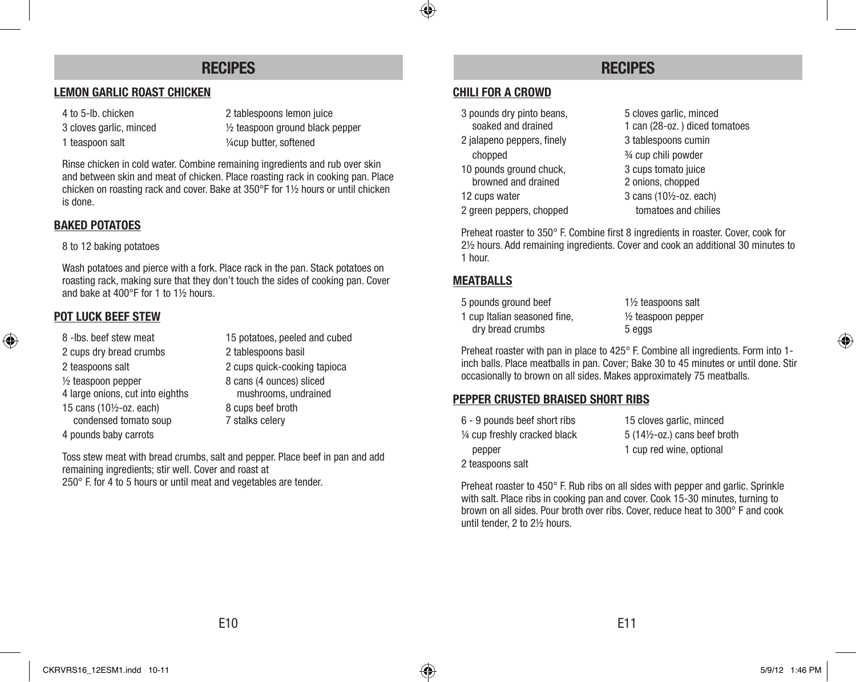### **RECIPES RECIPES**

#### **LEMON GARLIC ROAST CHICKEN**

- 
- 

4 to 5-lb. chicken 2 tablespoons lemon juice 3 cloves garlic, minced ½ teaspoon ground black pepper 1 teaspoon salt 1/4 cup butter, softened

Rinse chicken in cold water. Combine remaining ingredients and rub over skin and between skin and meat of chicken. Place roasting rack in cooking pan. Place chicken on roasting rack and cover. Bake at 350°F for 1½ hours or until chicken is done.

#### **BAKED POTATOES**

#### 8 to 12 baking potatoes

Wash potatoes and pierce with a fork. Place rack in the pan. Stack potatoes on roasting rack, making sure that they don't touch the sides of cooking pan. Cover and bake at 400°F for 1 to 1½ hours.

#### **POT LUCK BEEF STEW**

- 2 cups dry bread crumbs 2 tablespoons basil
- 
- 

⊕

- 
- 
- 
- condensed tomato soup
- 4 pounds baby carrots

8 -lbs. beef stew meat 15 potatoes, peeled and cubed 2 teaspoons salt 2 cups quick-cooking tapioca  $\frac{1}{2}$  teaspoon pepper  $\frac{8}{2}$  cans (4 ounces) sliced 4 large onions, cut into eighths mushrooms, undrained 15 cans (10½-oz. each) 8 cups beef broth<br>
8 cups beef broth<br>
8 cups beef broth<br>
7 stalks celery

Toss stew meat with bread crumbs, salt and pepper. Place beef in pan and add remaining ingredients; stir well. Cover and roast at 250° F. for 4 to 5 hours or until meat and vegetables are tender.

#### **CHILI FOR A CROWD**

◈

- 3 pounds dry pinto beans, 5 cloves garlic, minced
- chopped ¾ cup chili powder
- browned and drained 2 onions, chopped
- 
- 

soaked and drained 1 can (28-oz.) diced tomatoes 2 jalapeno peppers, finely 3 tablespoons cumin 10 pounds ground chuck, 3 cups tomato juice 12 cups water 3 cans (10½-oz. each) 2 green peppers, chopped tomatoes and chilies

Preheat roaster to 350° F. Combine first 8 ingredients in roaster. Cover, cook for 2½ hours. Add remaining ingredients. Cover and cook an additional 30 minutes to 1 hour.

#### **MEATBALLS**

5 pounds ground beef 1½ teaspoons salt 1 cup Italian seasoned fine, ½ teaspoon pepper dry bread crumbs 5 eggs

Preheat roaster with pan in place to 425° F. Combine all ingredients. Form into 1 inch balls. Place meatballs in pan. Cover; Bake 30 to 45 minutes or until done. Stir occasionally to brown on all sides. Makes approximately 75 meatballs.

#### **PEPPER CRUSTED BRAISED SHORT RIBS**

| 6 - 9 pounds beef short ribs  | 15 cloves garlic, minced                |
|-------------------------------|-----------------------------------------|
| 1/4 cup freshly cracked black | $5(14\frac{1}{2} - 0z)$ cans beef broth |
| pepper                        | 1 cup red wine, optional                |
| 2 teaspoons salt              |                                         |

Preheat roaster to 450° F. Rub ribs on all sides with pepper and garlic. Sprinkle with salt. Place ribs in cooking pan and cover. Cook 15-30 minutes, turning to brown on all sides. Pour broth over ribs. Cover, reduce heat to 300° F and cook until tender, 2 to 2½ hours.

 $\bigoplus$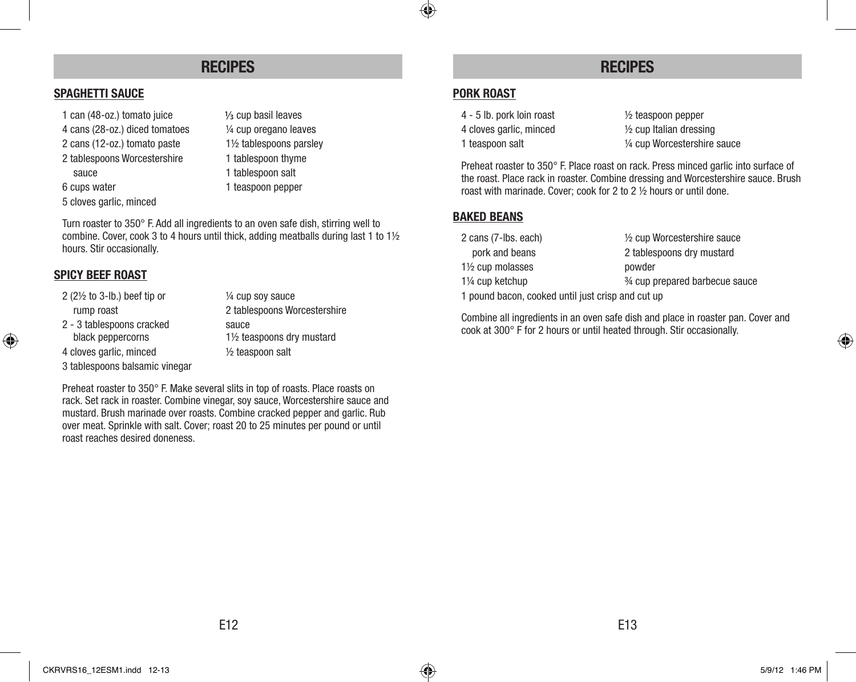## **RECIPES RECIPES**

#### **SPAGHETTI SAUCE**

- 1 can  $(48-oz.)$  tomato juice  $\frac{1}{3}$  cup basil leaves
- 4 cans (28-oz.) diced tomatoes ¼ cup oregano leaves
- 2 cans (12-oz.) tomato paste 1½ tablespoons parsley
- 2 tablespoons Worcestershire 1 tablespoon thyme
	-
- 6 cups water 1 teaspoon pepper
- 5 cloves garlic, minced
- 
- sauce 1 tablespoon salt
	-
	-

Turn roaster to 350° F. Add all ingredients to an oven safe dish, stirring well to combine. Cover, cook 3 to 4 hours until thick, adding meatballs during last 1 to 1½ hours. Stir occasionally.

#### **SPICY BEEF ROAST**

- 2 (2½ to 3-lb.) beef tip or ¼ cup soy sauce rump roast 2 tablespoons Worcestershire
- 2 3 tablespoons cracked sauce

3 tablespoons balsamic vinegar

black peppercorns 1½ teaspoons dry mustard 4 cloves garlic, minced ½ teaspoon salt

Preheat roaster to 350° F. Make several slits in top of roasts. Place roasts on rack. Set rack in roaster. Combine vinegar, soy sauce, Worcestershire sauce and mustard. Brush marinade over roasts. Combine cracked pepper and garlic. Rub over meat. Sprinkle with salt. Cover; roast 20 to 25 minutes per pound or until roast reaches desired doneness.

#### **PORK ROAST**

 $\bigcirc$ 

4 cloves garlic, minced ½ cup Italian dressing

4 - 5 lb. pork loin roast ½ teaspoon pepper 1 teaspoon salt  $\frac{1}{4}$  cup Worcestershire sauce

Preheat roaster to 350° F. Place roast on rack. Press minced garlic into surface of the roast. Place rack in roaster. Combine dressing and Worcestershire sauce. Brush roast with marinade. Cover; cook for 2 to 2 ½ hours or until done.

#### **BAKED BEANS**

| 2 cans (7-lbs. each)                              | 1/2 cup Worcestershire sauce |  |
|---------------------------------------------------|------------------------------|--|
| pork and beans                                    | 2 tablespoons dry mustard    |  |
| 1 <sup>1/2</sup> cup molasses                     | powder                       |  |
| 3⁄4 cup prepared barbecue sauce<br>1¼ cup ketchup |                              |  |
| 1 pound bacon, cooked until just crisp and cut up |                              |  |

Combine all ingredients in an oven safe dish and place in roaster pan. Cover and cook at 300° F for 2 hours or until heated through. Stir occasionally.

⊕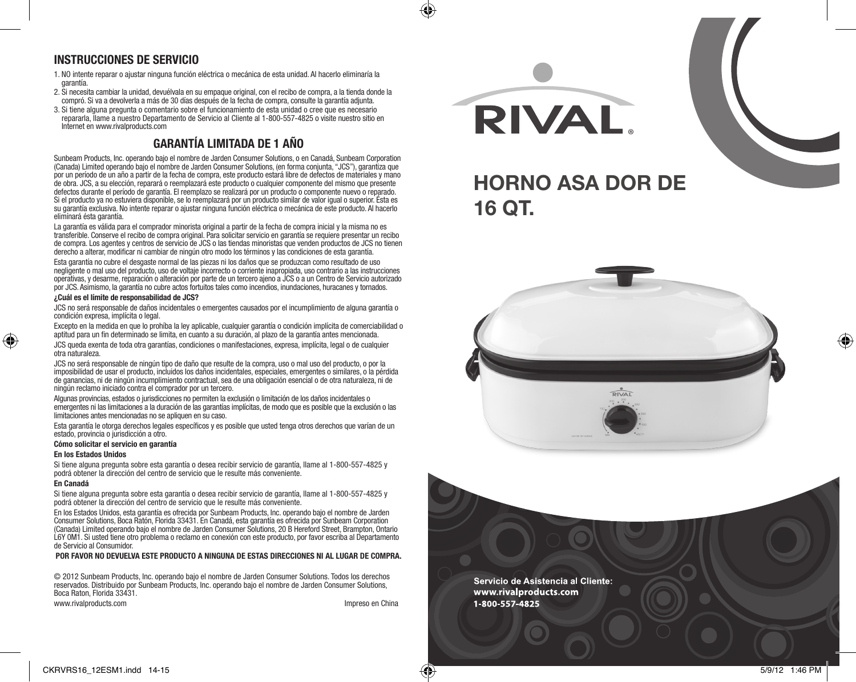#### **INSTRUCCIONES DE SERVICIO**

- 1. NO intente reparar o ajustar ninguna función eléctrica o mecánica de esta unidad. Al hacerlo eliminaría la garantía.
- 2. Si necesita cambiar la unidad, devuélvala en su empaque original, con el recibo de compra, a la tienda donde la compró. Si va a devolverla a más de 30 días después de la fecha de compra, consulte la garantía adjunta.
- 3. Si tiene alguna pregunta o comentario sobre el funcionamiento de esta unidad o cree que es necesario repararla, llame a nuestro Departamento de Servicio al Cliente al 1-800-557-4825 o visite nuestro sitio en Internet en www.rivalproducts.com

#### **GARANTÍA LIMITADA DE 1 AÑO**

Sunbeam Products, Inc. operando bajo el nombre de Jarden Consumer Solutions, o en Canadá, Sunbeam Corporation (Canada) Limited operando bajo el nombre de Jarden Consumer Solutions, (en forma conjunta, "JCS"), garantiza que por un período de un año a partir de la fecha de compra, este producto estará libre de defectos de materiales y mano de obra. JCS, a su elección, reparará o reemplazará este producto o cualquier componente del mismo que presente defectos durante el período de garantía. El reemplazo se realizará por un producto o componente nuevo o reparado. Si el producto ya no estuviera disponible, se lo reemplazará por un producto similar de valor igual o superior. Ésta es su garantía exclusiva. No intente reparar o ajustar ninguna función eléctrica o mecánica de este producto. Al hacerlo elimínará ésta garantía.

La garantía es válida para el comprador minorista original a partir de la fecha de compra inicial y la misma no es transferible. Conserve el recibo de compra original. Para solicitar servicio en garantía se requiere presentar un recibo de compra. Los agentes y centros de servicio de JCS o las tiendas minoristas que venden productos de JCS no tienen derecho a alterar, modificar ni cambiar de ningún otro modo los términos y las condiciones de esta garantía.

Esta garantía no cubre el desgaste normal de las piezas ni los daños que se produzcan como resultado de uso negligente o mal uso del producto, uso de voltaje incorrecto o corriente inapropiada, uso contrario a las instrucciones operativas, y desarme, reparación o alteración por parte de un tercero ajeno a JCS o a un Centro de Servicio autorizado por JCS. Asimismo, la garantía no cubre actos fortuitos tales como incendios, inundaciones, huracanes y tornados.

#### **¿Cuál es el límite de responsabilidad de JCS?**

JCS no será responsable de daños incidentales o emergentes causados por el incumplimiento de alguna garantía o condición expresa, implícita o legal.

Excepto en la medida en que lo prohíba la ley aplicable, cualquier garantía o condición implícita de comerciabilidad o aptitud para un fin determinado se limita, en cuanto a su duración, al plazo de la garantía antes mencionada.

JCS queda exenta de toda otra garantías, condiciones o manifestaciones, expresa, implícita, legal o de cualquier otra naturaleza.

JCS no será responsable de ningún tipo de daño que resulte de la compra, uso o mal uso del producto, o por la imposibilidad de usar el producto, incluidos los daños incidentales, especiales, emergentes o similares, o la pérdida de ganancias, ni de ningún incumplimiento contractual, sea de una obligación esencial o de otra naturaleza, ni de ningún reclamo iniciado contra el comprador por un tercero.

Algunas provincias, estados o jurisdicciones no permiten la exclusión o limitación de los daños incidentales o emergentes ni las limitaciones a la duración de las garantías implícitas, de modo que es posible que la exclusión o las limitaciones antes mencionadas no se apliquen en su caso.

Esta garantía le otorga derechos legales específicos y es posible que usted tenga otros derechos que varían de un estado, provincia o jurisdicción a otro.

#### **Cómo solicitar el servicio en garantía**

#### **En los Estados Unidos**

Si tiene alguna pregunta sobre esta garantía o desea recibir servicio de garantía, llame al 1-800-557-4825 y podrá obtener la dirección del centro de servicio que le resulte más conveniente.

#### **En Canadá**

♠

Si tiene alguna pregunta sobre esta garantía o desea recibir servicio de garantía, llame al 1-800-557-4825 y podrá obtener la dirección del centro de servicio que le resulte más conveniente.

En los Estados Unidos, esta garantía es ofrecida por Sunbeam Products, Inc. operando bajo el nombre de Jarden Consumer Solutions, Boca Ratón, Florida 33431. En Canadá, esta garantía es ofrecida por Sunbeam Corporation (Canada) Limited operando bajo el nombre de Jarden Consumer Solutions, 20 B Hereford Street, Brampton, Ontario L6Y 0M1. Si usted tiene otro problema o reclamo en conexión con este producto, por favor escriba al Departamento de Servicio al Consumidor.

#### **POR FAVOR NO DEVUELVA ESTE PRODUCTO A NINGUNA DE ESTAS DIRECCIONES NI AL LUGAR DE COMPRA.**

© 2012 Sunbeam Products, Inc. operando bajo el nombre de Jarden Consumer Solutions. Todos los derechos reservados. Distribuido por Sunbeam Products, Inc. operando bajo el nombre de Jarden Consumer Solutions, Boca Raton, Florida 33431.

www.rivalproducts.com in the entry of the entry of the entry of the entry of the entry of the entry of the entry of the entry of the entry of the entry of the entry of the entry of the entry of the entry of the entry of th





Servicio de Asistencia al Cliente: www.rivalproducts.com 1800 557 4825

♠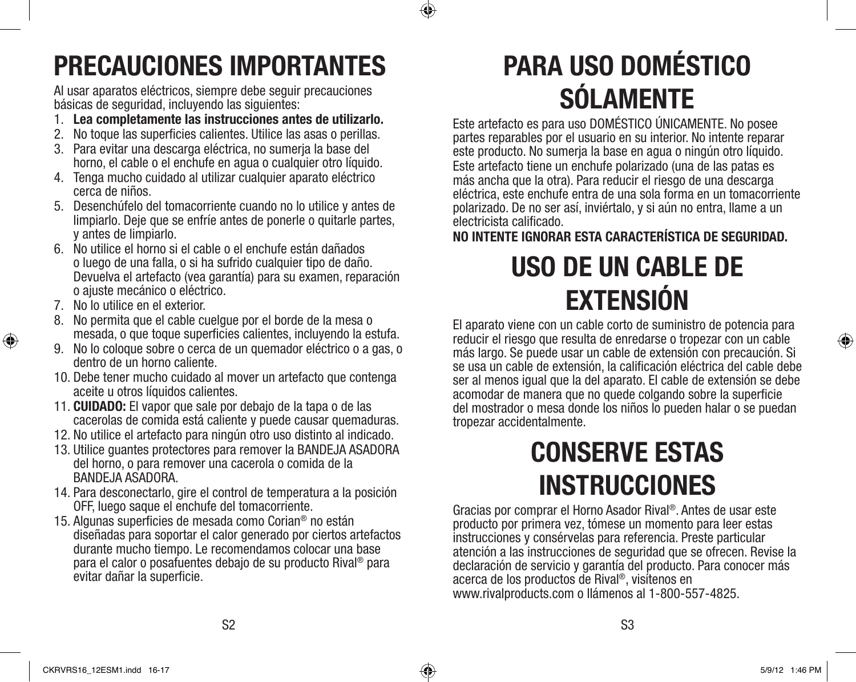

## **PRECAUCIONES IMPORTANTES**

Al usar aparatos eléctricos, siempre debe seguir precauciones básicas de seguridad, incluyendo las siguientes:

- 1. **Lea completamente las instrucciones antes de utilizarlo.**
- 2. No toque las superficies calientes. Utilice las asas o perillas.
- 3. Para evitar una descarga eléctrica, no sumerja la base del horno, el cable o el enchufe en agua o cualquier otro líquido.
- 4. Tenga mucho cuidado al utilizar cualquier aparato eléctrico cerca de niños.
- 5. Desenchúfelo del tomacorriente cuando no lo utilice y antes de limpiarlo. Deje que se enfríe antes de ponerle o quitarle partes, y antes de limpiarlo.
- 6. No utilice el horno si el cable o el enchufe están dañados o luego de una falla, o si ha sufrido cualquier tipo de daño. Devuelva el artefacto (vea garantía) para su examen, reparación o ajuste mecánico o eléctrico.
- 7. No lo utilice en el exterior.

♠

- 8. No permita que el cable cuelgue por el borde de la mesa o mesada, o que toque superficies calientes, incluyendo la estufa.
- 9. No lo coloque sobre o cerca de un quemador eléctrico o a gas, o dentro de un horno caliente.
- 10. Debe tener mucho cuidado al mover un artefacto que contenga aceite u otros líquidos calientes.
- 11. **CUIDADO:** El vapor que sale por debajo de la tapa o de las cacerolas de comida está caliente y puede causar quemaduras.
- 12. No utilice el artefacto para ningún otro uso distinto al indicado.
- 13. Utilice guantes protectores para remover la BANDEJA ASADORA del horno, o para remover una cacerola o comida de la BANDEJA ASADORA.
- 14. Para desconectarlo, gire el control de temperatura a la posición OFF, luego saque el enchufe del tomacorriente.
- 15. Algunas superficies de mesada como Corian® no están diseñadas para soportar el calor generado por ciertos artefactos durante mucho tiempo. Le recomendamos colocar una base para el calor o posafuentes debajo de su producto Rival® para evitar dañar la superficie.

# **PARA USO DOMÉSTICO SÓLAMENTE**

Este artefacto es para uso DOMÉSTICO ÚNICAMENTE. No posee partes reparables por el usuario en su interior. No intente reparar este producto. No sumerja la base en agua o ningún otro líquido. Este artefacto tiene un enchufe polarizado (una de las patas es más ancha que la otra). Para reducir el riesgo de una descarga eléctrica, este enchufe entra de una sola forma en un tomacorriente polarizado. De no ser así, inviértalo, y si aún no entra, llame a un electricista calificado.

**NO INTENTE IGNORAR ESTA CARACTERÍSTICA DE SEGURIDAD.**

## **USO DE UN CABLE DE EXTENSIÓN**

El aparato viene con un cable corto de suministro de potencia para reducir el riesgo que resulta de enredarse o tropezar con un cable más largo. Se puede usar un cable de extensión con precaución. Si se usa un cable de extensión, la calificación eléctrica del cable debe ser al menos igual que la del aparato. El cable de extensión se debe acomodar de manera que no quede colgando sobre la superficie del mostrador o mesa donde los niños lo pueden halar o se puedan tropezar accidentalmente.

## **CONSERVE ESTAS INSTRUCCIONES**

Gracias por comprar el Horno Asador Rival®. Antes de usar este producto por primera vez, tómese un momento para leer estas instrucciones y consérvelas para referencia. Preste particular atención a las instrucciones de seguridad que se ofrecen. Revise la declaración de servicio y garantía del producto. Para conocer más acerca de los productos de Rival®, visítenos en www.rivalproducts.com o llámenos al 1-800-557-4825.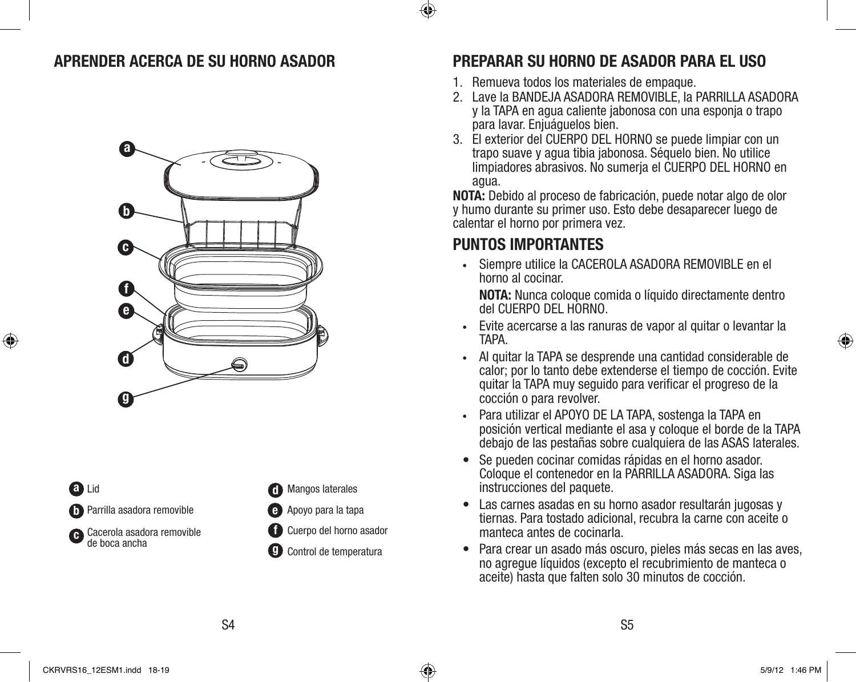## **APRENDER ACERCA DE SU HORNO ASADOR**



**a** Lid Parrilla asadora removible **b** Cacerola asadora removible **c** de boca ancha

♠

Mangos laterales **d**

**f**

- Apoyo para la tapa **e**
- Cuerpo del horno asador
- Control de temperatura **g**

## **PREPARAR SU HORNO DE ASADOR PARA EL USO**

- 1. Remueva todos los materiales de empaque.
- 2. Lave la BANDEJA ASADORA REMOVIBLE, la PARRILLA ASADORA y la TAPA en agua caliente jabonosa con una esponja o trapo para lavar. Enjuáguelos bien.
- 3. El exterior del CUERPO DEL HORNO se puede limpiar con un trapo suave y agua tibia jabonosa. Séquelo bien. No utilice limpiadores abrasivos. No sumerja el CUERPO DEL HORNO en agua.

**NOTA:** Debido al proceso de fabricación, puede notar algo de olor y humo durante su primer uso. Esto debe desaparecer luego de calentar el horno por primera vez.

## **PUNTOS IMPORTANTES**

**•** Siempre utilice la CACEROLA ASADORA REMOVIBLE en el horno al cocinar.

 **NOTA:** Nunca coloque comida o líquido directamente dentro del CUERPO DEL HORNO.

- **•** Evite acercarse a las ranuras de vapor al quitar o levantar la TAPA.
- **•** Al quitar la TAPA se desprende una cantidad considerable de calor; por lo tanto debe extenderse el tiempo de cocción. Evite quitar la TAPA muy seguido para verificar el progreso de la cocción o para revolver.
- **•** Para utilizar el APOYO DE LA TAPA, sostenga la TAPA en posición vertical mediante el asa y coloque el borde de la TAPA debajo de las pestañas sobre cualquiera de las ASAS laterales.
- Se pueden cocinar comidas rápidas en el horno asador. Coloque el contenedor en la PARRILLA ASADORA. Siga las instrucciones del paquete.
- Las carnes asadas en su horno asador resultarán jugosas y tiernas. Para tostado adicional, recubra la carne con aceite o manteca antes de cocinarla.
- Para crear un asado más oscuro, pieles más secas en las aves, no agregue líquidos (excepto el recubrimiento de manteca o aceite) hasta que falten solo 30 minutos de cocción.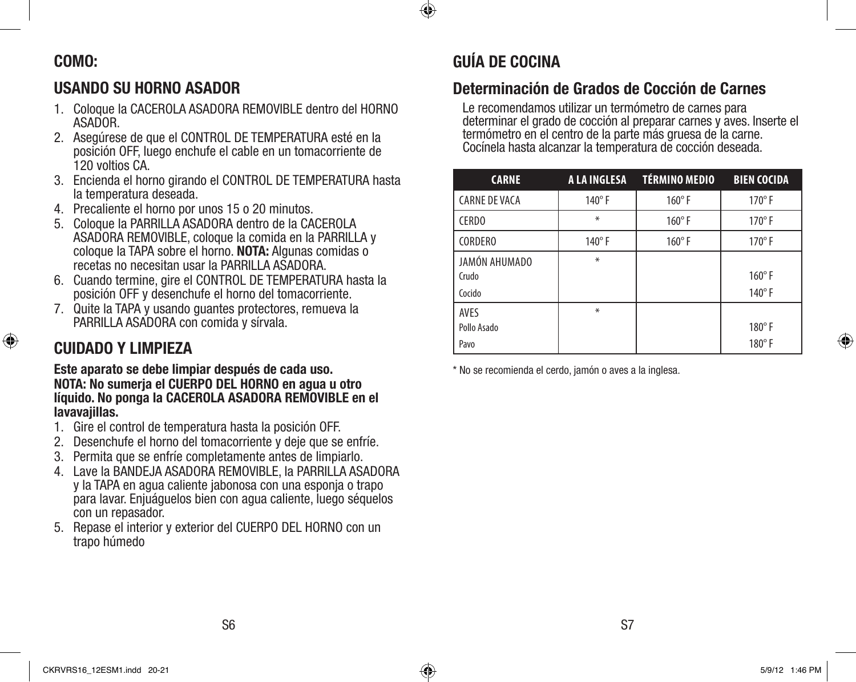## **COMO:**

## **USANDO SU HORNO ASADOR**

- 1. Coloque la CACEROLA ASADORA REMOVIBLE dentro del HORNO ASADOR.
- 2. Asegúrese de que el CONTROL DE TEMPERATURA esté en la posición OFF, luego enchufe el cable en un tomacorriente de 120 voltios CA.
- 3. Encienda el horno girando el CONTROL DE TEMPERATURA hasta la temperatura deseada.
- 4. Precaliente el horno por unos 15 o 20 minutos.
- 5. Coloque la PARRILLA ASADORA dentro de la CACEROLA ASADORA REMOVIBLE, coloque la comida en la PARRILLA y coloque la TAPA sobre el horno. **NOTA:** Algunas comidas o recetas no necesitan usar la PARRILLA ASADORA.
- 6. Cuando termine, gire el CONTROL DE TEMPERATURA hasta la posición OFF y desenchufe el horno del tomacorriente.
- 7. Quite la TAPA y usando guantes protectores, remueva la PARRILLA ASADORA con comida y sírvala.

## **CUIDADO Y LIMPIEZA**

⊕

**Este aparato se debe limpiar después de cada uso. NOTA: No sumerja el CUERPO DEL HORNO en agua u otro líquido. No ponga la CACEROLA ASADORA REMOVIBLE en el lavavajillas.**

- 1. Gire el control de temperatura hasta la posición OFF.
- 2. Desenchufe el horno del tomacorriente y deje que se enfríe.
- 3. Permita que se enfríe completamente antes de limpiarlo.
- 4. Lave la BANDEJA ASADORA REMOVIBLE, la PARRILLA ASADORA y la TAPA en agua caliente jabonosa con una esponja o trapo para lavar. Enjuáguelos bien con agua caliente, luego séquelos con un repasador.
- 5. Repase el interior y exterior del CUERPO DEL HORNO con un trapo húmedo

## **GUÍA DE COCINA**

⊕

## **Determinación de Grados de Cocción de Carnes**

Le recomendamos utilizar un termómetro de carnes para determinar el grado de cocción al preparar carnes y aves. Inserte el termómetro en el centro de la parte más gruesa de la carne. Cocínela hasta alcanzar la temperatura de cocción deseada.

| <b>CARNE</b>                       | A LA INGLESA  | TÉRMINO MEDIO | <b>BIEN COCIDA</b>             |
|------------------------------------|---------------|---------------|--------------------------------|
| <b>CARNE DE VACA</b>               | 140°F         | $160^\circ$ F | $170^\circ$ F                  |
| <b>CERDO</b>                       | ∗             | $160^\circ$ F | $170^\circ$ F                  |
| <b>CORDERO</b>                     | $140^\circ$ F | $160^\circ$ F | $170^\circ$ F                  |
| JAMÓN AHUMADO<br>Crudo<br>Cocido   | $\ast$        |               | $160^\circ$ F<br>$140^\circ$ F |
| <b>AVES</b><br>Pollo Asado<br>Pavo | $\ast$        |               | $180^\circ$ F<br>$180^\circ$ F |

\* No se recomienda el cerdo, jamón o aves a la inglesa.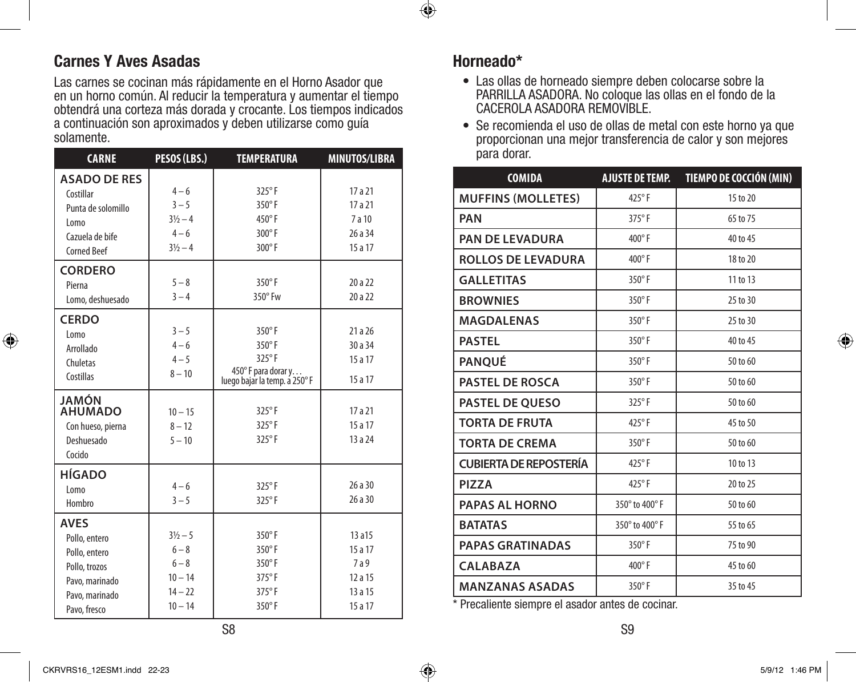## **Carnes Y Aves Asadas**

Las carnes se cocinan más rápidamente en el Horno Asador que en un horno común. Al reducir la temperatura y aumentar el tiempo obtendrá una corteza más dorada y crocante. Los tiempos indicados a continuación son aproximados y deben utilizarse como guía solamente.

| <b>CARNE</b>                                                                                                       | PESOS (LBS.)                                                                    | <b>TEMPERATURA</b>                                                             | <b>MINUTOS/LIBRA</b>                                   |
|--------------------------------------------------------------------------------------------------------------------|---------------------------------------------------------------------------------|--------------------------------------------------------------------------------|--------------------------------------------------------|
| <b>ASADO DE RES</b><br>Costillar<br>Punta de solomillo<br>Lomo<br>Cazuela de bife<br><b>Corned Beef</b>            | $4 - 6$<br>$3 - 5$<br>$3\frac{1}{2} - 4$<br>$4 - 6$<br>$3\frac{1}{2} - 4$       | 325°F<br>$350^\circ$ F<br>$450^\circ$ F<br>300°F<br>300°F                      | 17 a 21<br>17 a 21<br>7 a 10<br>26 a 34<br>15 a 17     |
| <b>CORDERO</b><br>Pierna<br>Lomo, deshuesado                                                                       | $5 - 8$<br>$3 - 4$                                                              | $350^\circ$ F<br>$350^\circ$ Fw                                                | 20 a 22<br>20 a 22                                     |
| <b>CERDO</b><br>Lomo<br>Arrollado<br>Chuletas<br>Costillas                                                         | $3 - 5$<br>$4 - 6$<br>$4 - 5$<br>$8 - 10$                                       | 350°F<br>350°F<br>325°F<br>450° F para dorar y<br>luego bajar la temp. a 250°F | 21a26<br>30 a 34<br>15 a 17<br>15 a 17                 |
| JAMÓN<br><b>AHUMADO</b><br>Con hueso, pierna<br>Deshuesado<br>Cocido                                               | $10 - 15$<br>$8 - 12$<br>$5 - 10$                                               | 325°F<br>325°F<br>325°F                                                        | 17a21<br>15 a 17<br>13 a 24                            |
| <b>HÍGADO</b><br>Lomo<br>Hombro                                                                                    | $4 - 6$<br>$3 - 5$                                                              | 325°F<br>325°F                                                                 | 26a30<br>26 a 30                                       |
| <b>AVES</b><br>Pollo, entero<br>Pollo, entero<br>Pollo, trozos<br>Pavo, marinado<br>Pavo, marinado<br>Pavo, fresco | $3\frac{1}{2} - 5$<br>$6 - 8$<br>$6 - 8$<br>$10 - 14$<br>$14 - 22$<br>$10 - 14$ | 350°F<br>350°F<br>350°F<br>375°F<br>375°F<br>$350^\circ$ F                     | 13 a 15<br>15a17<br>7a9<br>12a15<br>13 a 15<br>15 a 17 |

### **Horneado\***

 $\bigcirc$ 

- Las ollas de horneado siempre deben colocarse sobre la PARRILLA ASADORA. No coloque las ollas en el fondo de la CACEROLA ASADORA REMOVIBLE.
- Se recomienda el uso de ollas de metal con este horno ya que proporcionan una mejor transferencia de calor y son mejores para dorar.

| <b>COMIDA</b>                 | <b>AJUSTE DE TEMP.</b> | TIEMPO DE COCCIÓN (MIN) |
|-------------------------------|------------------------|-------------------------|
| <b>MUFFINS (MOLLETES)</b>     | $425^{\circ}$ F        | 15 to 20                |
| <b>PAN</b>                    | 375°F                  | 65 to 75                |
| <b>PAN DE LEVADURA</b>        | $400^\circ$ F          | 40 to 45                |
| <b>ROLLOS DE LEVADURA</b>     | 400°F                  | 18 to 20                |
| <b>GALLETITAS</b>             | 350°F                  | 11 to 13                |
| <b>BROWNIES</b>               | $350^\circ$ F          | 25 to 30                |
| <b>MAGDALENAS</b>             | $350^\circ$ F          | 25 to 30                |
| <b>PASTEL</b>                 | $350^\circ$ F          | 40 to 45                |
| <b>PANOUÉ</b>                 | 350°F                  | 50 to 60                |
| <b>PASTEL DE ROSCA</b>        | $350^\circ$ F          | 50 to 60                |
| <b>PASTEL DE QUESO</b>        | $325^{\circ}$ F        | 50 to 60                |
| <b>TORTA DE FRUTA</b>         | 425°F                  | 45 to 50                |
| <b>TORTA DE CREMA</b>         | 350°F                  | 50 to 60                |
| <b>CUBIERTA DE REPOSTERÍA</b> | 425°F                  | 10 to 13                |
| <b>PIZZA</b>                  | $425^{\circ}$ F        | 20 to 25                |
| <b>PAPAS AL HORNO</b>         | 350° to 400° F         | 50 to 60                |
| <b>BATATAS</b>                | 350° to 400° F         | 55 to 65                |
| <b>PAPAS GRATINADAS</b>       | $350^\circ$ F          | 75 to 90                |
| <b>CALABAZA</b>               | 400°F                  | 45 to 60                |
| <b>MANZANAS ASADAS</b>        | $350^\circ$ F          | 35 to 45                |

\* Precaliente siempre el asador antes de cocinar.

⊕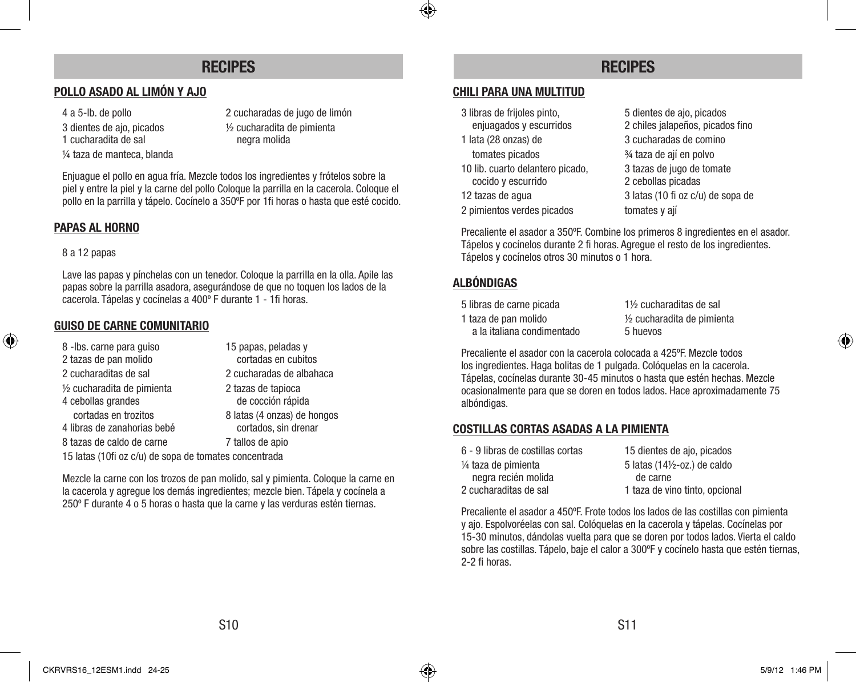## **RECIPES**

### **POLLO ASADO AL LIMÓN Y AJO**

- 
- 
- 1 cucharadita de sal negra molida
- ¼ taza de manteca, blanda
- 4 a 5-lb. de pollo 2 cucharadas de jugo de limón 3 dientes de ajo, picados ½ cucharadita de pimienta

Enjuague el pollo en agua fría. Mezcle todos los ingredientes y frótelos sobre la piel y entre la piel y la carne del pollo Coloque la parrilla en la cacerola. Coloque el pollo en la parrilla y tápelo. Cocínelo a 350ºF por 1fi horas o hasta que esté cocido.

#### **PAPAS AL HORNO**

#### 8 a 12 papas

⊕

Lave las papas y pínchelas con un tenedor. Coloque la parrilla en la olla. Apile las papas sobre la parrilla asadora, asegurándose de que no toquen los lados de la cacerola. Tápelas y cocínelas a 400º F durante 1 - 1fi horas.

#### **GUISO DE CARNE COMUNITARIO**

| 8 - Ibs. carne para guiso                           | 15 papas, peladas y                                 |
|-----------------------------------------------------|-----------------------------------------------------|
| 2 tazas de pan molido                               | cortadas en cubitos                                 |
| 2 cucharaditas de sal                               | 2 cucharadas de albahaca                            |
| 1/2 cucharadita de pimienta<br>4 cebollas grandes   | 2 tazas de tapioca<br>de cocción rápida             |
| cortadas en trozitos<br>4 libras de zanahorias bebé | 8 latas (4 onzas) de hongos<br>cortados, sin drenar |
| 8 tazas de caldo de carne                           | 7 tallos de apio                                    |
|                                                     |                                                     |

15 latas (10fi oz c/u) de sopa de tomates concentrada

Mezcle la carne con los trozos de pan molido, sal y pimienta. Coloque la carne en la cacerola y agregue los demás ingredientes; mezcle bien. Tápela y cocínela a 250º F durante 4 o 5 horas o hasta que la carne y las verduras estén tiernas.

## **RECIPES**

#### **CHILI PARA UNA MULTITUD**

- 3 libras de frijoles pinto,<br>
enjuagados y escurridos (5 dientes de ajo, picados enjuagados y escurridos (5 dientes alguardos, picados)
	-
	-
- cocido y escurrido 2 cebollas picadas
- 

◈

2 pimientos verdes picados tomates y aií

2 chiles jalapeños, picados fino 1 lata (28 onzas) de 3 cucharadas de comino tomates picados ¾ taza de ají en polvo 10 lib. cuarto delantero picado, 3 tazas de jugo de tomate 12 tazas de agua 3 latas (10 fi oz c/u) de sopa de

Precaliente el asador a 350ºF. Combine los primeros 8 ingredientes en el asador. Tápelos y cocínelos durante 2 fi horas. Agregue el resto de los ingredientes. Tápelos y cocínelos otros 30 minutos o 1 hora.

### **ALBÓNDIGAS**

| 5 libras de carne picada   |
|----------------------------|
| 1 taza de pan molido       |
| a la italiana condimentado |

1 % cucharaditas de sal  $1/2$  cucharadita de pimienta 5 huevos

Precaliente el asador con la cacerola colocada a 425ºF. Mezcle todos los ingredientes. Haga bolitas de 1 pulgada. Colóquelas en la cacerola. Tápelas, cocínelas durante 30-45 minutos o hasta que estén hechas. Mezcle ocasionalmente para que se doren en todos lados. Hace aproximadamente 75 albóndigas.

#### **COSTILLAS CORTAS ASADAS A LA PIMIENTA**

| 6 - 9 libras de costillas cortas | 15 dientes de ajo, picados              |
|----------------------------------|-----------------------------------------|
| 1/4 taza de pimienta             | 5 latas $(14\frac{1}{2} - 0z)$ de caldo |
| negra recién molida              | de carne                                |
| 2 cucharaditas de sal            | 1 taza de vino tinto, opcional          |
|                                  |                                         |

Precaliente el asador a 450ºF. Frote todos los lados de las costillas con pimienta y ajo. Espolvoréelas con sal. Colóquelas en la cacerola y tápelas. Cocínelas por 15-30 minutos, dándolas vuelta para que se doren por todos lados. Vierta el caldo sobre las costillas. Tápelo, baje el calor a 300°F y cocínelo hasta que estén tiernas, 2-2 fi horas.